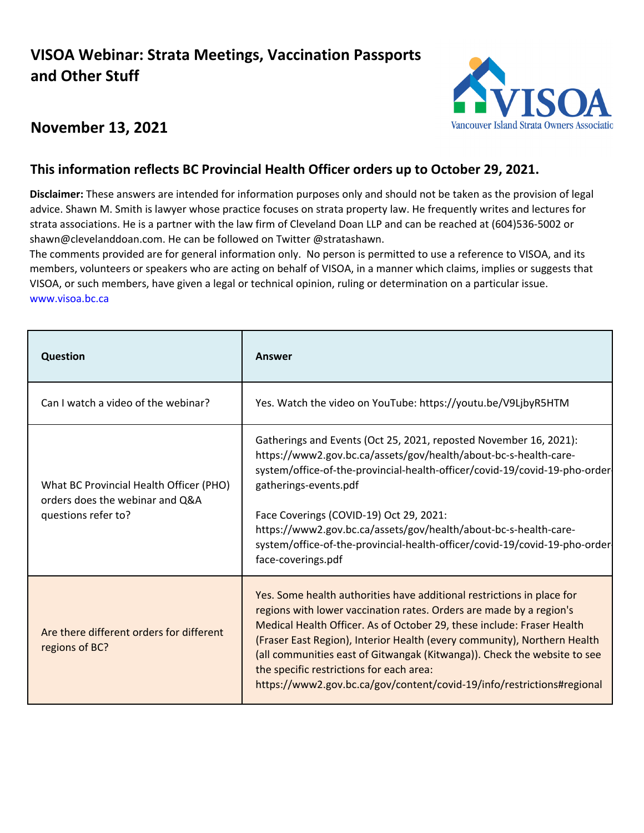## **VISOA Webinar: Strata Meetings, Vaccination Passports and Other Stuff**



## **November 13, 2021**

## This information reflects BC Provincial Health Officer orders up to October 29, 2021.

**Disclaimer:** These answers are intended for information purposes only and should not be taken as the provision of legal advice. Shawn M. Smith is lawyer whose practice focuses on strata property law. He frequently writes and lectures for strata associations. He is a partner with the law firm of Cleveland Doan LLP and can be reached at (604)536-5002 or shawn@clevelanddoan.com. He can be followed on Twitter @stratashawn.

The comments provided are for general information only. No person is permitted to use a reference to VISOA, and its members, volunteers or speakers who are acting on behalf of VISOA, in a manner which claims, implies or suggests that VISOA, or such members, have given a legal or technical opinion, ruling or determination on a particular issue. www.visoa.bc.ca

| Question                                                                                          | Answer                                                                                                                                                                                                                                                                                                                                                                                                                                                                                                |
|---------------------------------------------------------------------------------------------------|-------------------------------------------------------------------------------------------------------------------------------------------------------------------------------------------------------------------------------------------------------------------------------------------------------------------------------------------------------------------------------------------------------------------------------------------------------------------------------------------------------|
| Can I watch a video of the webinar?                                                               | Yes. Watch the video on YouTube: https://youtu.be/V9LjbyR5HTM                                                                                                                                                                                                                                                                                                                                                                                                                                         |
| What BC Provincial Health Officer (PHO)<br>orders does the webinar and Q&A<br>questions refer to? | Gatherings and Events (Oct 25, 2021, reposted November 16, 2021):<br>https://www2.gov.bc.ca/assets/gov/health/about-bc-s-health-care-<br>system/office-of-the-provincial-health-officer/covid-19/covid-19-pho-order<br>gatherings-events.pdf<br>Face Coverings (COVID-19) Oct 29, 2021:<br>https://www2.gov.bc.ca/assets/gov/health/about-bc-s-health-care-<br>system/office-of-the-provincial-health-officer/covid-19/covid-19-pho-order<br>face-coverings.pdf                                       |
| Are there different orders for different<br>regions of BC?                                        | Yes. Some health authorities have additional restrictions in place for<br>regions with lower vaccination rates. Orders are made by a region's<br>Medical Health Officer. As of October 29, these include: Fraser Health<br>(Fraser East Region), Interior Health (every community), Northern Health<br>(all communities east of Gitwangak (Kitwanga)). Check the website to see<br>the specific restrictions for each area:<br>https://www2.gov.bc.ca/gov/content/covid-19/info/restrictions#regional |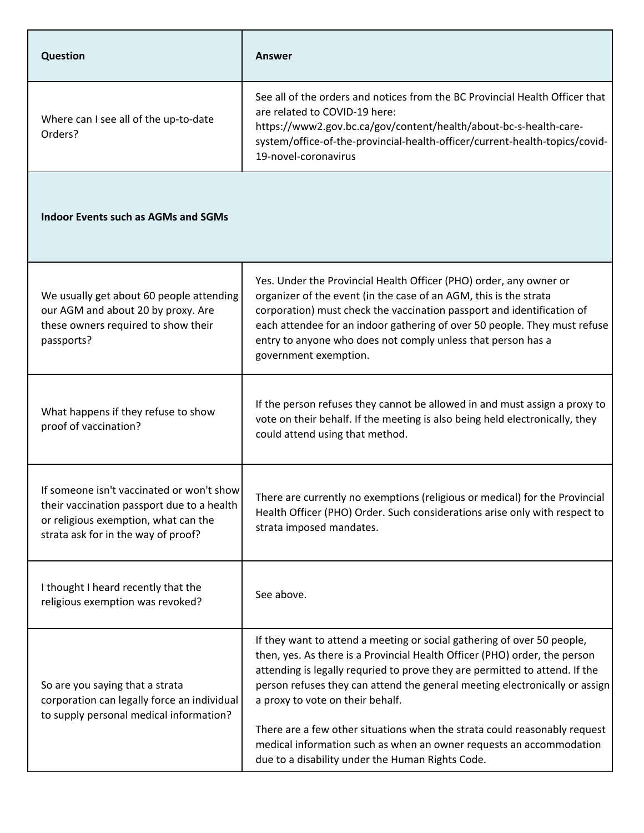| <b>Question</b>                                                                                                                                                        | <b>Answer</b>                                                                                                                                                                                                                                                                                                                                                                                                                                                                                                                                                   |
|------------------------------------------------------------------------------------------------------------------------------------------------------------------------|-----------------------------------------------------------------------------------------------------------------------------------------------------------------------------------------------------------------------------------------------------------------------------------------------------------------------------------------------------------------------------------------------------------------------------------------------------------------------------------------------------------------------------------------------------------------|
| Where can I see all of the up-to-date<br>Orders?                                                                                                                       | See all of the orders and notices from the BC Provincial Health Officer that<br>are related to COVID-19 here:<br>https://www2.gov.bc.ca/gov/content/health/about-bc-s-health-care-<br>system/office-of-the-provincial-health-officer/current-health-topics/covid-<br>19-novel-coronavirus                                                                                                                                                                                                                                                                       |
| <b>Indoor Events such as AGMs and SGMs</b>                                                                                                                             |                                                                                                                                                                                                                                                                                                                                                                                                                                                                                                                                                                 |
| We usually get about 60 people attending<br>our AGM and about 20 by proxy. Are<br>these owners required to show their<br>passports?                                    | Yes. Under the Provincial Health Officer (PHO) order, any owner or<br>organizer of the event (in the case of an AGM, this is the strata<br>corporation) must check the vaccination passport and identification of<br>each attendee for an indoor gathering of over 50 people. They must refuse<br>entry to anyone who does not comply unless that person has a<br>government exemption.                                                                                                                                                                         |
| What happens if they refuse to show<br>proof of vaccination?                                                                                                           | If the person refuses they cannot be allowed in and must assign a proxy to<br>vote on their behalf. If the meeting is also being held electronically, they<br>could attend using that method.                                                                                                                                                                                                                                                                                                                                                                   |
| If someone isn't vaccinated or won't show<br>their vaccination passport due to a health<br>or religious exemption, what can the<br>strata ask for in the way of proof? | There are currently no exemptions (religious or medical) for the Provincial<br>Health Officer (PHO) Order. Such considerations arise only with respect to<br>strata imposed mandates.                                                                                                                                                                                                                                                                                                                                                                           |
| I thought I heard recently that the<br>religious exemption was revoked?                                                                                                | See above.                                                                                                                                                                                                                                                                                                                                                                                                                                                                                                                                                      |
| So are you saying that a strata<br>corporation can legally force an individual<br>to supply personal medical information?                                              | If they want to attend a meeting or social gathering of over 50 people,<br>then, yes. As there is a Provincial Health Officer (PHO) order, the person<br>attending is legally requried to prove they are permitted to attend. If the<br>person refuses they can attend the general meeting electronically or assign<br>a proxy to vote on their behalf.<br>There are a few other situations when the strata could reasonably request<br>medical information such as when an owner requests an accommodation<br>due to a disability under the Human Rights Code. |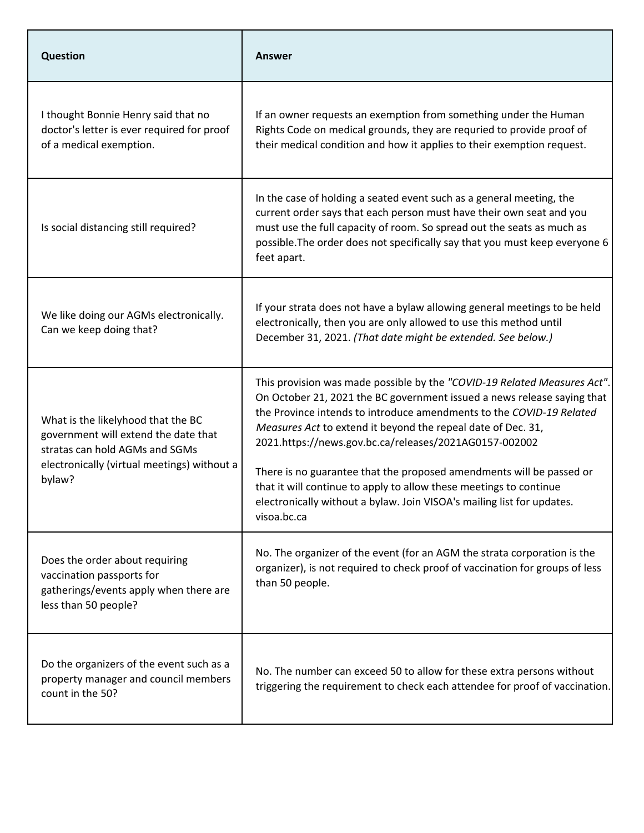| <b>Question</b>                                                                                                                                                       | <b>Answer</b>                                                                                                                                                                                                                                                                                                                                                                                                                                                                                                                                                                                |
|-----------------------------------------------------------------------------------------------------------------------------------------------------------------------|----------------------------------------------------------------------------------------------------------------------------------------------------------------------------------------------------------------------------------------------------------------------------------------------------------------------------------------------------------------------------------------------------------------------------------------------------------------------------------------------------------------------------------------------------------------------------------------------|
| I thought Bonnie Henry said that no<br>doctor's letter is ever required for proof<br>of a medical exemption.                                                          | If an owner requests an exemption from something under the Human<br>Rights Code on medical grounds, they are requried to provide proof of<br>their medical condition and how it applies to their exemption request.                                                                                                                                                                                                                                                                                                                                                                          |
| Is social distancing still required?                                                                                                                                  | In the case of holding a seated event such as a general meeting, the<br>current order says that each person must have their own seat and you<br>must use the full capacity of room. So spread out the seats as much as<br>possible. The order does not specifically say that you must keep everyone 6<br>feet apart.                                                                                                                                                                                                                                                                         |
| We like doing our AGMs electronically.<br>Can we keep doing that?                                                                                                     | If your strata does not have a bylaw allowing general meetings to be held<br>electronically, then you are only allowed to use this method until<br>December 31, 2021. (That date might be extended. See below.)                                                                                                                                                                                                                                                                                                                                                                              |
| What is the likelyhood that the BC<br>government will extend the date that<br>stratas can hold AGMs and SGMs<br>electronically (virtual meetings) without a<br>bylaw? | This provision was made possible by the "COVID-19 Related Measures Act".<br>On October 21, 2021 the BC government issued a news release saying that<br>the Province intends to introduce amendments to the COVID-19 Related<br>Measures Act to extend it beyond the repeal date of Dec. 31,<br>2021.https://news.gov.bc.ca/releases/2021AG0157-002002<br>There is no guarantee that the proposed amendments will be passed or<br>that it will continue to apply to allow these meetings to continue<br>electronically without a bylaw. Join VISOA's mailing list for updates.<br>visoa.bc.ca |
| Does the order about requiring<br>vaccination passports for<br>gatherings/events apply when there are<br>less than 50 people?                                         | No. The organizer of the event (for an AGM the strata corporation is the<br>organizer), is not required to check proof of vaccination for groups of less<br>than 50 people.                                                                                                                                                                                                                                                                                                                                                                                                                  |
| Do the organizers of the event such as a<br>property manager and council members<br>count in the 50?                                                                  | No. The number can exceed 50 to allow for these extra persons without<br>triggering the requirement to check each attendee for proof of vaccination.                                                                                                                                                                                                                                                                                                                                                                                                                                         |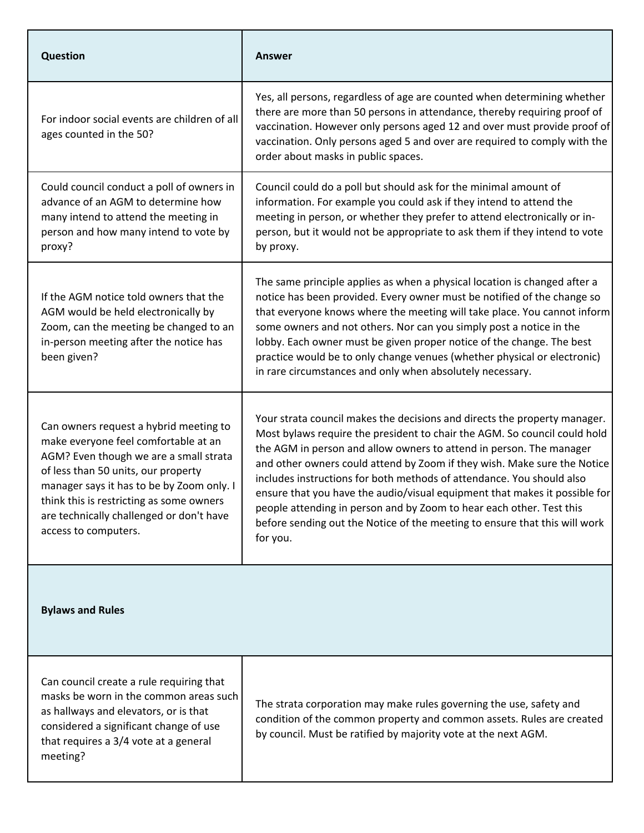| <b>Question</b>                                                                                                                                                                                                                                                                                                              | <b>Answer</b>                                                                                                                                                                                                                                                                                                                                                                                                                                                                                                                                                                                                                      |
|------------------------------------------------------------------------------------------------------------------------------------------------------------------------------------------------------------------------------------------------------------------------------------------------------------------------------|------------------------------------------------------------------------------------------------------------------------------------------------------------------------------------------------------------------------------------------------------------------------------------------------------------------------------------------------------------------------------------------------------------------------------------------------------------------------------------------------------------------------------------------------------------------------------------------------------------------------------------|
| For indoor social events are children of all<br>ages counted in the 50?                                                                                                                                                                                                                                                      | Yes, all persons, regardless of age are counted when determining whether<br>there are more than 50 persons in attendance, thereby requiring proof of<br>vaccination. However only persons aged 12 and over must provide proof of<br>vaccination. Only persons aged 5 and over are required to comply with the<br>order about masks in public spaces.                                                                                                                                                                                                                                                                               |
| Could council conduct a poll of owners in<br>advance of an AGM to determine how<br>many intend to attend the meeting in<br>person and how many intend to vote by<br>proxy?                                                                                                                                                   | Council could do a poll but should ask for the minimal amount of<br>information. For example you could ask if they intend to attend the<br>meeting in person, or whether they prefer to attend electronically or in-<br>person, but it would not be appropriate to ask them if they intend to vote<br>by proxy.                                                                                                                                                                                                                                                                                                                    |
| If the AGM notice told owners that the<br>AGM would be held electronically by<br>Zoom, can the meeting be changed to an<br>in-person meeting after the notice has<br>been given?                                                                                                                                             | The same principle applies as when a physical location is changed after a<br>notice has been provided. Every owner must be notified of the change so<br>that everyone knows where the meeting will take place. You cannot inform<br>some owners and not others. Nor can you simply post a notice in the<br>lobby. Each owner must be given proper notice of the change. The best<br>practice would be to only change venues (whether physical or electronic)<br>in rare circumstances and only when absolutely necessary.                                                                                                          |
| Can owners request a hybrid meeting to<br>make everyone feel comfortable at an<br>AGM? Even though we are a small strata<br>of less than 50 units, our property<br>manager says it has to be by Zoom only. I<br>think this is restricting as some owners<br>are technically challenged or don't have<br>access to computers. | Your strata council makes the decisions and directs the property manager.<br>Most bylaws require the president to chair the AGM. So council could hold<br>the AGM in person and allow owners to attend in person. The manager<br>and other owners could attend by Zoom if they wish. Make sure the Notice<br>includes instructions for both methods of attendance. You should also<br>ensure that you have the audio/visual equipment that makes it possible for<br>people attending in person and by Zoom to hear each other. Test this<br>before sending out the Notice of the meeting to ensure that this will work<br>for you. |
| <b>Bylaws and Rules</b>                                                                                                                                                                                                                                                                                                      |                                                                                                                                                                                                                                                                                                                                                                                                                                                                                                                                                                                                                                    |
| Can council create a rule requiring that<br>masks be worn in the common areas such<br>as hallways and elevators, or is that<br>considered a significant change of use<br>that requires a 3/4 vote at a general<br>meeting?                                                                                                   | The strata corporation may make rules governing the use, safety and<br>condition of the common property and common assets. Rules are created<br>by council. Must be ratified by majority vote at the next AGM.                                                                                                                                                                                                                                                                                                                                                                                                                     |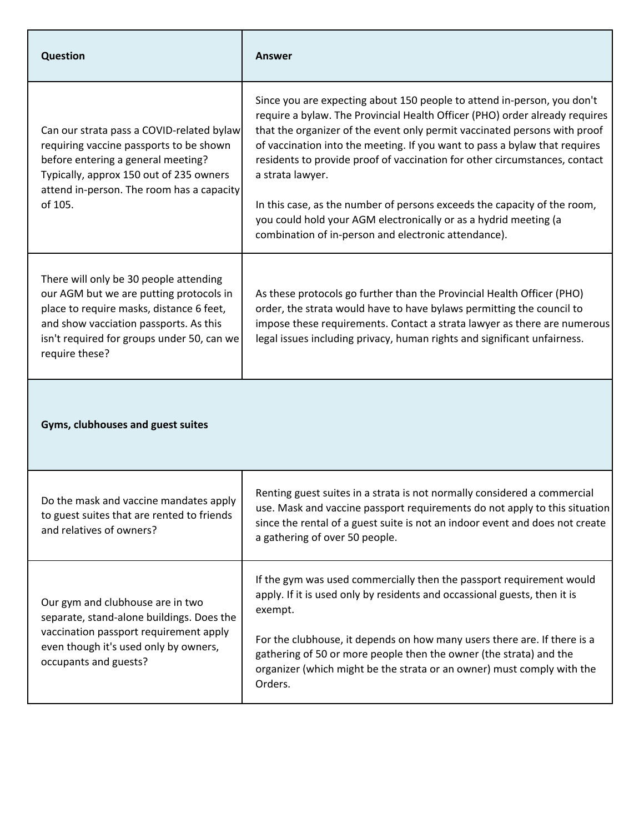| <b>Question</b>                                                                                                                                                                                                                         | <b>Answer</b>                                                                                                                                                                                                                                                                                                                                                                                                                                                                                                                                                                                                               |
|-----------------------------------------------------------------------------------------------------------------------------------------------------------------------------------------------------------------------------------------|-----------------------------------------------------------------------------------------------------------------------------------------------------------------------------------------------------------------------------------------------------------------------------------------------------------------------------------------------------------------------------------------------------------------------------------------------------------------------------------------------------------------------------------------------------------------------------------------------------------------------------|
| Can our strata pass a COVID-related bylaw<br>requiring vaccine passports to be shown<br>before entering a general meeting?<br>Typically, approx 150 out of 235 owners<br>attend in-person. The room has a capacity<br>of 105.           | Since you are expecting about 150 people to attend in-person, you don't<br>require a bylaw. The Provincial Health Officer (PHO) order already requires<br>that the organizer of the event only permit vaccinated persons with proof<br>of vaccination into the meeting. If you want to pass a bylaw that requires<br>residents to provide proof of vaccination for other circumstances, contact<br>a strata lawyer.<br>In this case, as the number of persons exceeds the capacity of the room,<br>you could hold your AGM electronically or as a hydrid meeting (a<br>combination of in-person and electronic attendance). |
| There will only be 30 people attending<br>our AGM but we are putting protocols in<br>place to require masks, distance 6 feet,<br>and show vacciation passports. As this<br>isn't required for groups under 50, can we<br>require these? | As these protocols go further than the Provincial Health Officer (PHO)<br>order, the strata would have to have bylaws permitting the council to<br>impose these requirements. Contact a strata lawyer as there are numerous<br>legal issues including privacy, human rights and significant unfairness.                                                                                                                                                                                                                                                                                                                     |
| Gyms, clubhouses and guest suites                                                                                                                                                                                                       |                                                                                                                                                                                                                                                                                                                                                                                                                                                                                                                                                                                                                             |
| Do the mask and vaccine mandates apply<br>to guest suites that are rented to friends<br>and relatives of owners?                                                                                                                        | Renting guest suites in a strata is not normally considered a commercial<br>use. Mask and vaccine passport requirements do not apply to this situation<br>since the rental of a guest suite is not an indoor event and does not create<br>a gathering of over 50 people.                                                                                                                                                                                                                                                                                                                                                    |
| Our gym and clubhouse are in two<br>separate, stand-alone buildings. Does the<br>vaccination passport requirement apply<br>even though it's used only by owners,                                                                        | If the gym was used commercially then the passport requirement would<br>apply. If it is used only by residents and occassional guests, then it is<br>exempt.<br>For the clubhouse, it depends on how many users there are. If there is a<br>gathering of 50 or more people then the owner (the strata) and the                                                                                                                                                                                                                                                                                                              |
| occupants and guests?                                                                                                                                                                                                                   | organizer (which might be the strata or an owner) must comply with the<br>Orders.                                                                                                                                                                                                                                                                                                                                                                                                                                                                                                                                           |